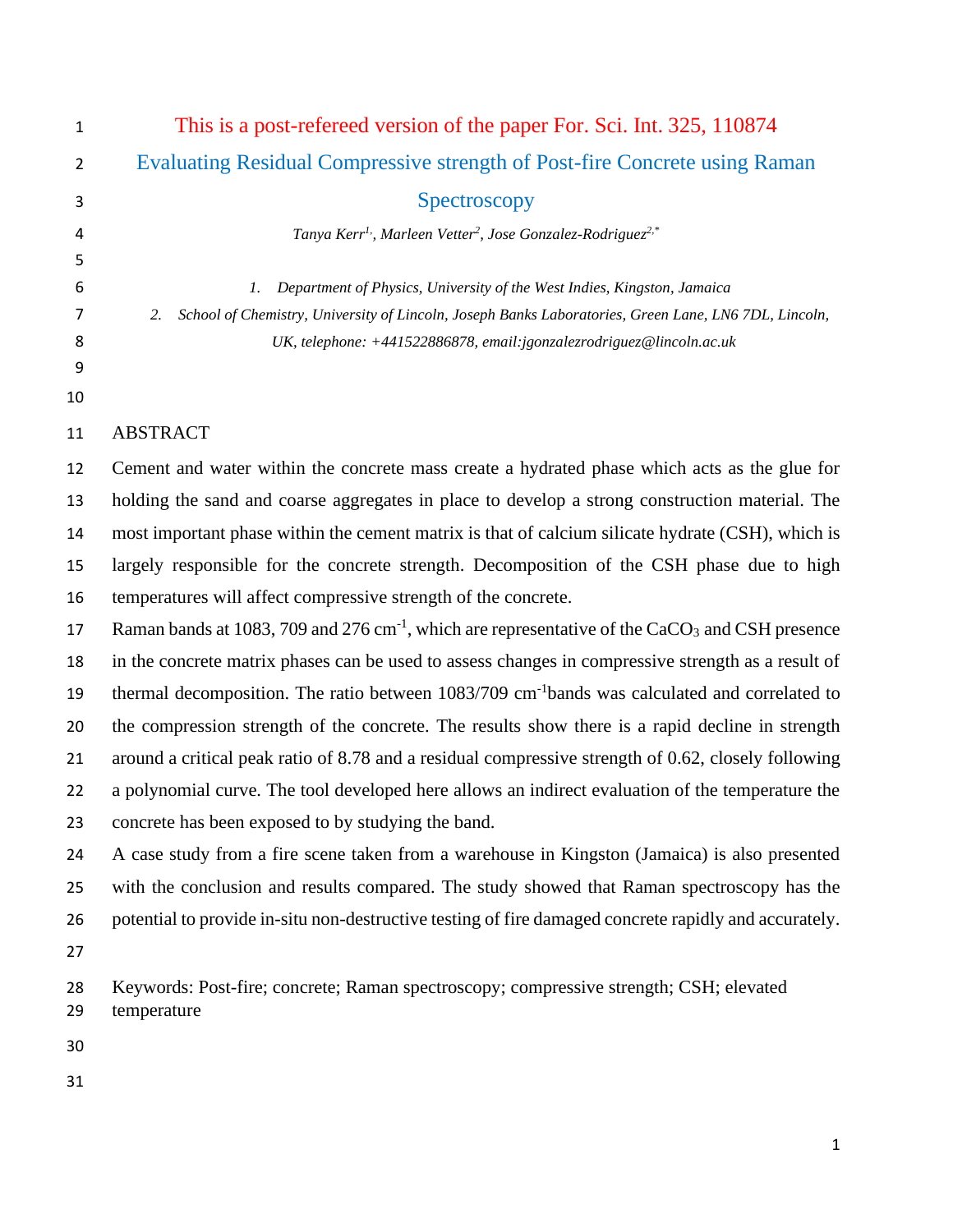| $\mathbf{1}$   | This is a post-refereed version of the paper For. Sci. Int. 325, 110874                                                |
|----------------|------------------------------------------------------------------------------------------------------------------------|
| $\overline{2}$ | Evaluating Residual Compressive strength of Post-fire Concrete using Raman                                             |
| 3              | Spectroscopy                                                                                                           |
| 4              | Tanya Kerr <sup>1</sup> , Marleen Vetter <sup>2</sup> , Jose Gonzalez-Rodriguez <sup>2,*</sup>                         |
| 5              |                                                                                                                        |
| 6              | Department of Physics, University of the West Indies, Kingston, Jamaica<br>1.                                          |
| 7              | School of Chemistry, University of Lincoln, Joseph Banks Laboratories, Green Lane, LN6 7DL, Lincoln,<br>2.             |
| 8              | UK, telephone: +441522886878, email:jgonzalezrodriguez@lincoln.ac.uk                                                   |
| 9<br>10        |                                                                                                                        |
| 11             | <b>ABSTRACT</b>                                                                                                        |
| 12             | Cement and water within the concrete mass create a hydrated phase which acts as the glue for                           |
| 13             | holding the sand and coarse aggregates in place to develop a strong construction material. The                         |
| 14             | most important phase within the cement matrix is that of calcium silicate hydrate (CSH), which is                      |
| 15             | largely responsible for the concrete strength. Decomposition of the CSH phase due to high                              |
| 16             | temperatures will affect compressive strength of the concrete.                                                         |
| 17             | Raman bands at 1083, 709 and 276 cm <sup>-1</sup> , which are representative of the CaCO <sub>3</sub> and CSH presence |
| 18             | in the concrete matrix phases can be used to assess changes in compressive strength as a result of                     |
| 19             | thermal decomposition. The ratio between 1083/709 cm <sup>-1</sup> bands was calculated and correlated to              |
| 20             | the compression strength of the concrete. The results show there is a rapid decline in strength                        |
| 21             | around a critical peak ratio of 8.78 and a residual compressive strength of 0.62, closely following                    |
| 22             | a polynomial curve. The tool developed here allows an indirect evaluation of the temperature the                       |
| 23             | concrete has been exposed to by studying the band.                                                                     |
| 24             | A case study from a fire scene taken from a warehouse in Kingston (Jamaica) is also presented                          |
| 25             | with the conclusion and results compared. The study showed that Raman spectroscopy has the                             |
| 26             | potential to provide in-situ non-destructive testing of fire damaged concrete rapidly and accurately.                  |
| 27             |                                                                                                                        |
| 28<br>29       | Keywords: Post-fire; concrete; Raman spectroscopy; compressive strength; CSH; elevated<br>temperature                  |
| 30             |                                                                                                                        |
| 31             |                                                                                                                        |
|                |                                                                                                                        |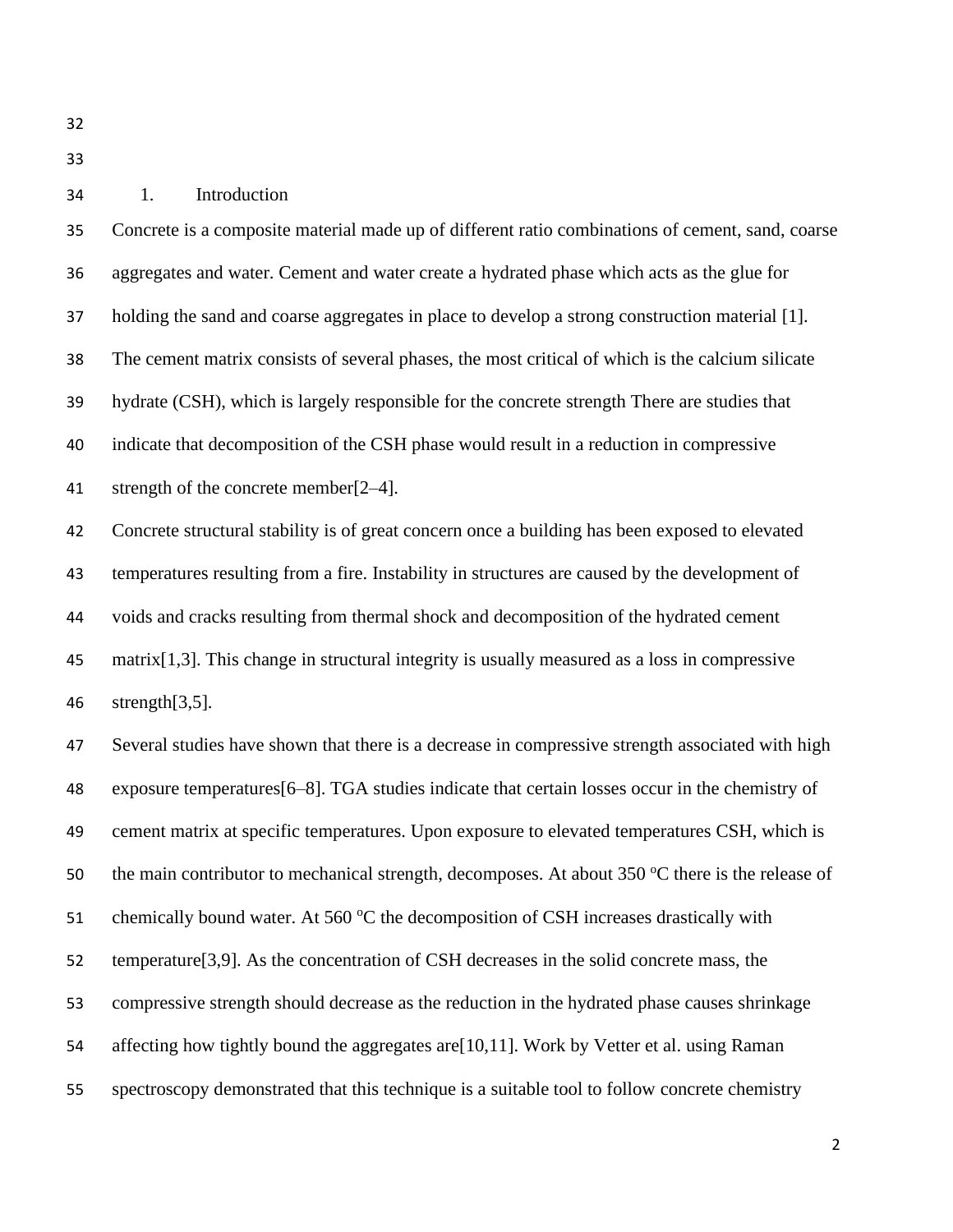# 1. Introduction

 Concrete is a composite material made up of different ratio combinations of cement, sand, coarse aggregates and water. Cement and water create a hydrated phase which acts as the glue for holding the sand and coarse aggregates in place to develop a strong construction material [1]. The cement matrix consists of several phases, the most critical of which is the calcium silicate hydrate (CSH), which is largely responsible for the concrete strength There are studies that indicate that decomposition of the CSH phase would result in a reduction in compressive strength of the concrete member[2–4]. Concrete structural stability is of great concern once a building has been exposed to elevated temperatures resulting from a fire. Instability in structures are caused by the development of voids and cracks resulting from thermal shock and decomposition of the hydrated cement matrix[1,3]. This change in structural integrity is usually measured as a loss in compressive strength[3,5]. Several studies have shown that there is a decrease in compressive strength associated with high exposure temperatures[6–8]. TGA studies indicate that certain losses occur in the chemistry of cement matrix at specific temperatures. Upon exposure to elevated temperatures CSH, which is 50 the main contributor to mechanical strength, decomposes. At about  $350^{\circ}$ C there is the release of 51 chemically bound water. At 560 °C the decomposition of CSH increases drastically with

- 
- temperature[3,9]. As the concentration of CSH decreases in the solid concrete mass, the
- compressive strength should decrease as the reduction in the hydrated phase causes shrinkage
- affecting how tightly bound the aggregates are[10,11]. Work by Vetter et al. using Raman
- spectroscopy demonstrated that this technique is a suitable tool to follow concrete chemistry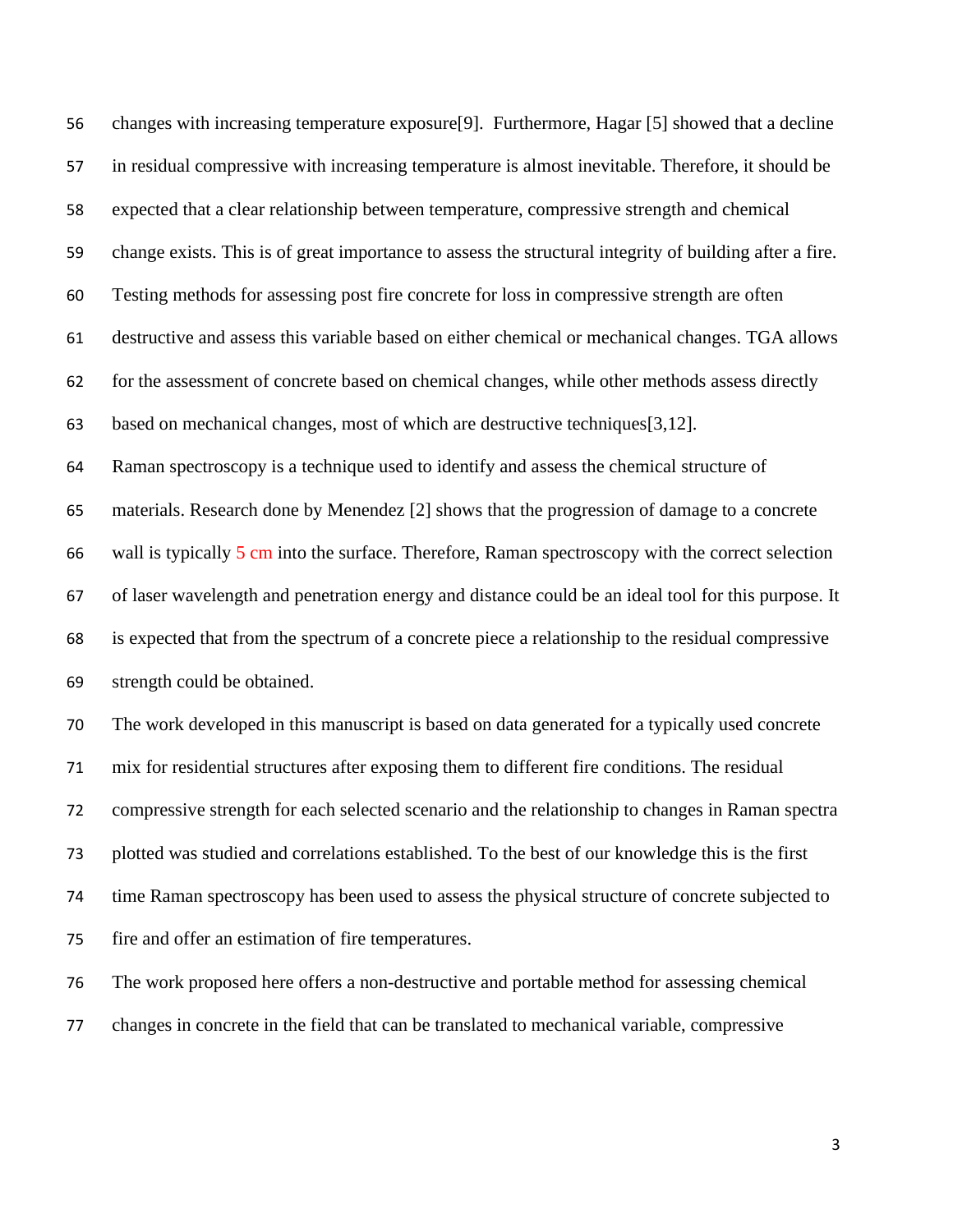changes with increasing temperature exposure[9]. Furthermore, Hagar [5] showed that a decline in residual compressive with increasing temperature is almost inevitable. Therefore, it should be expected that a clear relationship between temperature, compressive strength and chemical change exists. This is of great importance to assess the structural integrity of building after a fire. Testing methods for assessing post fire concrete for loss in compressive strength are often destructive and assess this variable based on either chemical or mechanical changes. TGA allows for the assessment of concrete based on chemical changes, while other methods assess directly based on mechanical changes, most of which are destructive techniques[3,12]. Raman spectroscopy is a technique used to identify and assess the chemical structure of materials. Research done by Menendez [2] shows that the progression of damage to a concrete 66 wall is typically 5 cm into the surface. Therefore, Raman spectroscopy with the correct selection of laser wavelength and penetration energy and distance could be an ideal tool for this purpose. It is expected that from the spectrum of a concrete piece a relationship to the residual compressive strength could be obtained. The work developed in this manuscript is based on data generated for a typically used concrete mix for residential structures after exposing them to different fire conditions. The residual compressive strength for each selected scenario and the relationship to changes in Raman spectra

plotted was studied and correlations established. To the best of our knowledge this is the first

time Raman spectroscopy has been used to assess the physical structure of concrete subjected to

fire and offer an estimation of fire temperatures.

 The work proposed here offers a non-destructive and portable method for assessing chemical changes in concrete in the field that can be translated to mechanical variable, compressive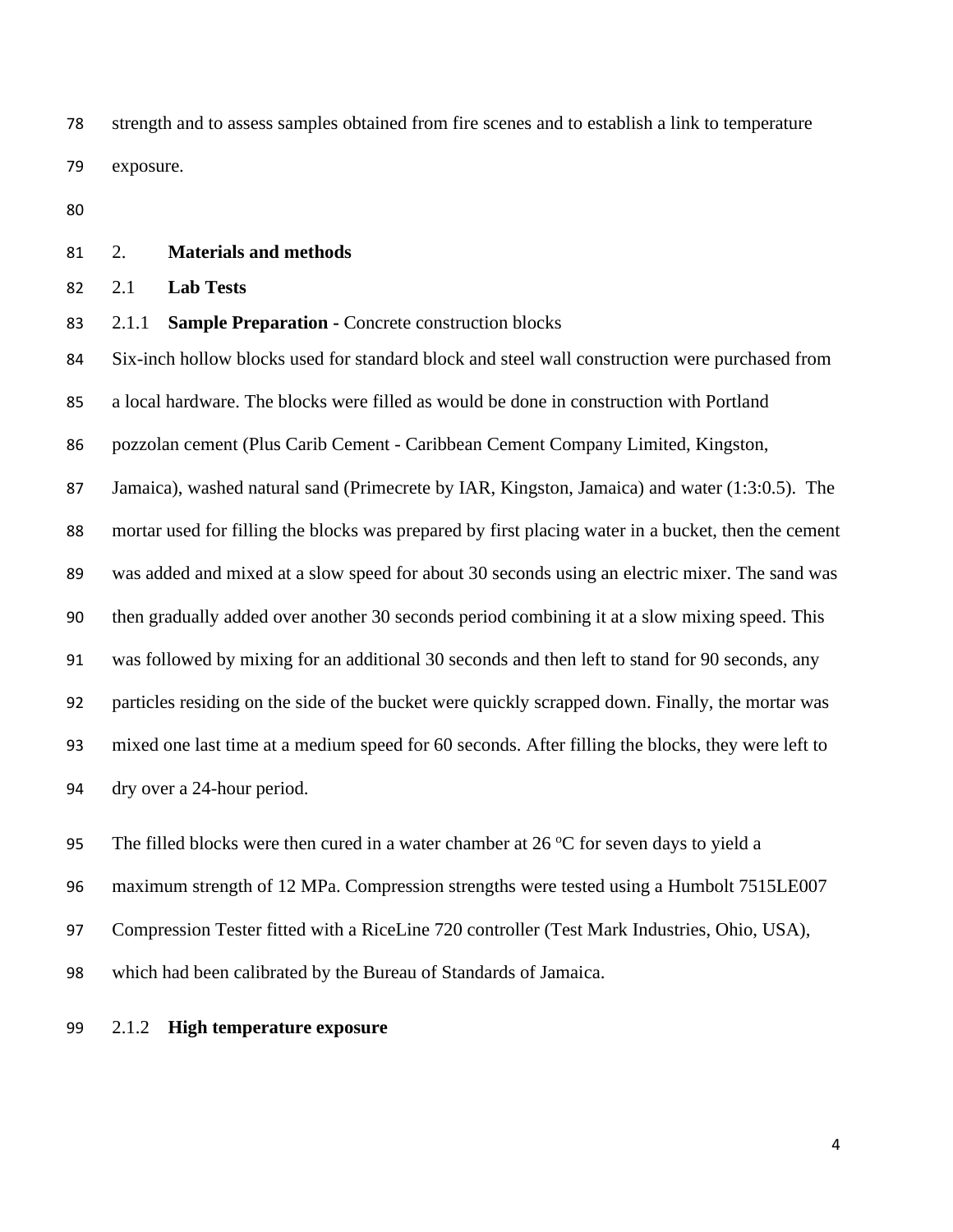strength and to assess samples obtained from fire scenes and to establish a link to temperature exposure.

### 2. **Materials and methods**

2.1 **Lab Tests**

2.1.1 **Sample Preparation -** Concrete construction blocks

Six-inch hollow blocks used for standard block and steel wall construction were purchased from

a local hardware. The blocks were filled as would be done in construction with Portland

pozzolan cement (Plus Carib Cement - Caribbean Cement Company Limited, Kingston,

Jamaica), washed natural sand (Primecrete by IAR, Kingston, Jamaica) and water (1:3:0.5). The

mortar used for filling the blocks was prepared by first placing water in a bucket, then the cement

was added and mixed at a slow speed for about 30 seconds using an electric mixer. The sand was

then gradually added over another 30 seconds period combining it at a slow mixing speed. This

was followed by mixing for an additional 30 seconds and then left to stand for 90 seconds, any

particles residing on the side of the bucket were quickly scrapped down. Finally, the mortar was

mixed one last time at a medium speed for 60 seconds. After filling the blocks, they were left to

dry over a 24-hour period.

95 The filled blocks were then cured in a water chamber at  $26\,^{\circ}\text{C}$  for seven days to yield a

maximum strength of 12 MPa. Compression strengths were tested using a Humbolt 7515LE007

97 Compression Tester fitted with a RiceLine 720 controller (Test Mark Industries, Ohio, USA),

which had been calibrated by the Bureau of Standards of Jamaica.

2.1.2 **High temperature exposure**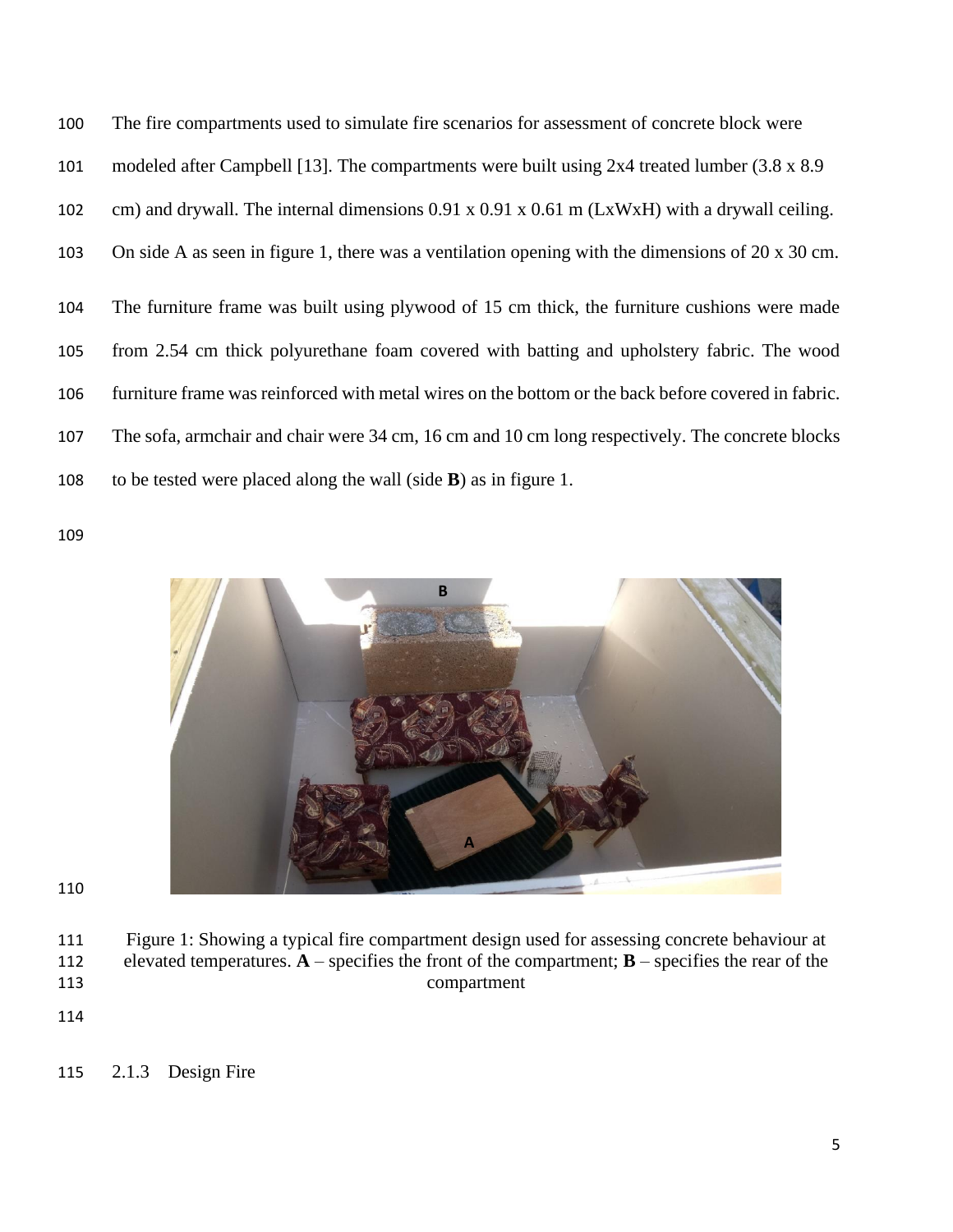The fire compartments used to simulate fire scenarios for assessment of concrete block were modeled after Campbell [13]. The compartments were built using 2x4 treated lumber (3.8 x 8.9 cm) and drywall. The internal dimensions 0.91 x 0.91 x 0.61 m (LxWxH) with a drywall ceiling. On side A as seen in figure 1, there was a ventilation opening with the dimensions of 20 x 30 cm. The furniture frame was built using plywood of 15 cm thick, the furniture cushions were made from 2.54 cm thick polyurethane foam covered with batting and upholstery fabric. The wood furniture frame was reinforced with metal wires on the bottom or the back before covered in fabric. The sofa, armchair and chair were 34 cm, 16 cm and 10 cm long respectively. The concrete blocks to be tested were placed along the wall (side **B**) as in figure 1.



- Figure 1: Showing a typical fire compartment design used for assessing concrete behaviour at elevated temperatures. **A** – specifies the front of the compartment; **B** – specifies the rear of the compartment
-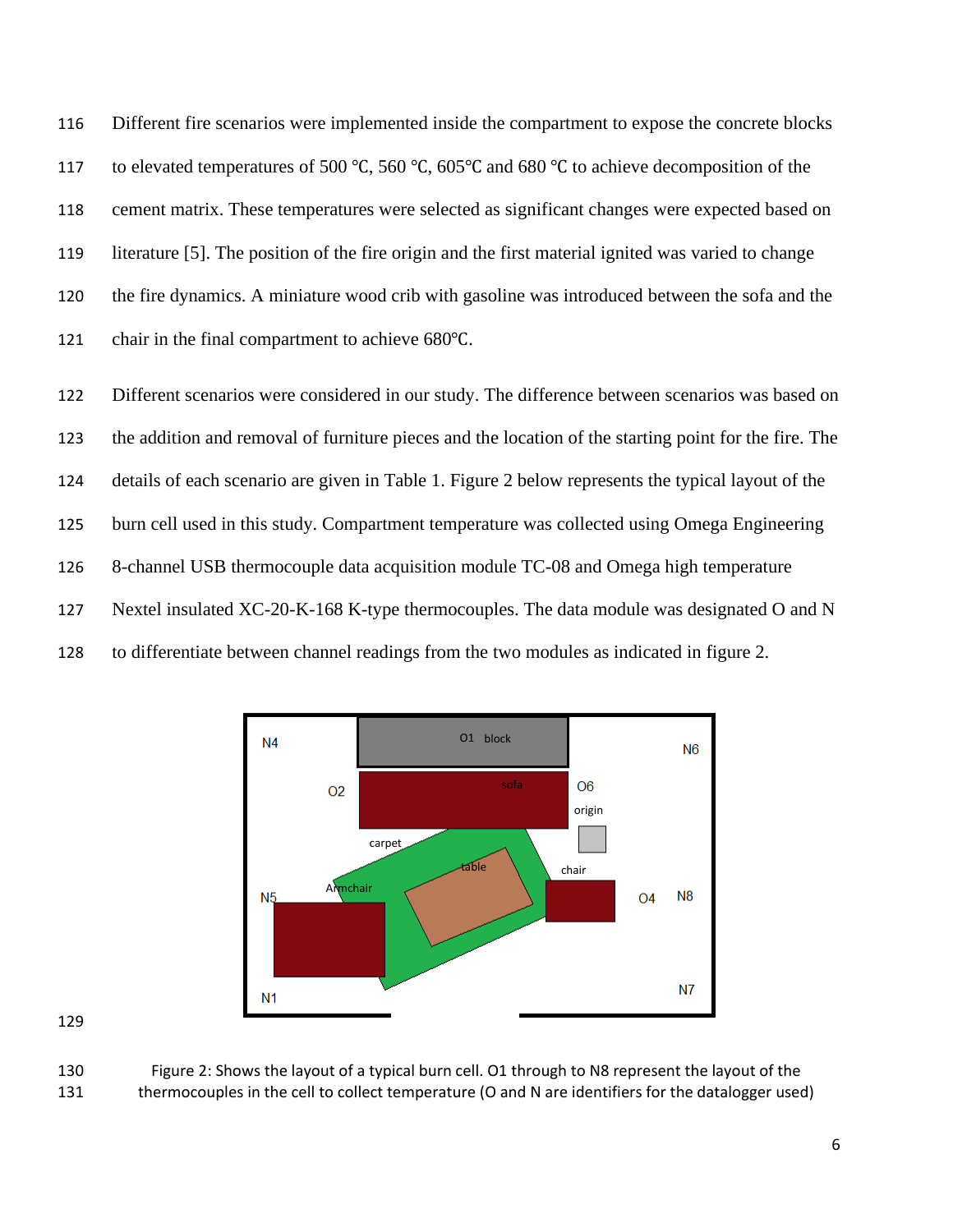Different fire scenarios were implemented inside the compartment to expose the concrete blocks to elevated temperatures of 500 ℃, 560 ℃, 605℃ and 680 ℃ to achieve decomposition of the cement matrix. These temperatures were selected as significant changes were expected based on literature [5]. The position of the fire origin and the first material ignited was varied to change the fire dynamics. A miniature wood crib with gasoline was introduced between the sofa and the chair in the final compartment to achieve 680℃.

 Different scenarios were considered in our study. The difference between scenarios was based on the addition and removal of furniture pieces and the location of the starting point for the fire. The details of each scenario are given in Table 1. Figure 2 below represents the typical layout of the burn cell used in this study. Compartment temperature was collected using Omega Engineering 8-channel USB thermocouple data acquisition module TC-08 and Omega high temperature Nextel insulated XC-20-K-168 K-type thermocouples. The data module was designated O and N to differentiate between channel readings from the two modules as indicated in figure 2.



 Figure 2: Shows the layout of a typical burn cell. O1 through to N8 represent the layout of the thermocouples in the cell to collect temperature (O and N are identifiers for the datalogger used)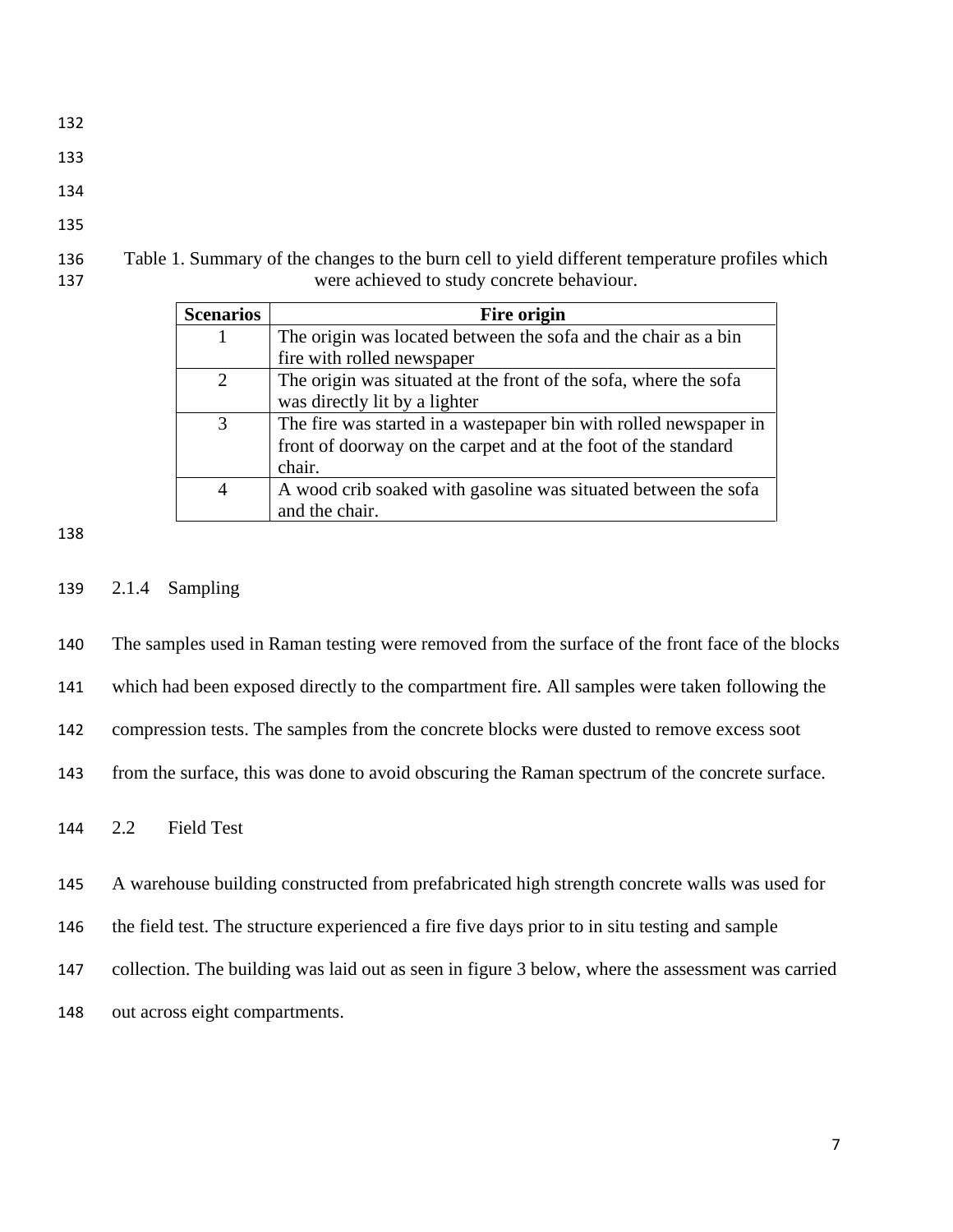- 
- 
- 
- 
- Table 1. Summary of the changes to the burn cell to yield different temperature profiles which were achieved to study concrete behaviour.

| <b>Scenarios</b> | <b>Fire origin</b>                                                |
|------------------|-------------------------------------------------------------------|
|                  | The origin was located between the sofa and the chair as a bin    |
|                  | fire with rolled newspaper                                        |
|                  | The origin was situated at the front of the sofa, where the sofa  |
|                  | was directly lit by a lighter                                     |
| 3                | The fire was started in a wastepaper bin with rolled newspaper in |
|                  | front of doorway on the carpet and at the foot of the standard    |
|                  | chair.                                                            |
|                  | A wood crib soaked with gasoline was situated between the sofa    |
|                  | and the chair.                                                    |

2.1.4 Sampling

The samples used in Raman testing were removed from the surface of the front face of the blocks

which had been exposed directly to the compartment fire. All samples were taken following the

compression tests. The samples from the concrete blocks were dusted to remove excess soot

from the surface, this was done to avoid obscuring the Raman spectrum of the concrete surface.

2.2 Field Test

A warehouse building constructed from prefabricated high strength concrete walls was used for

the field test. The structure experienced a fire five days prior to in situ testing and sample

collection. The building was laid out as seen in figure 3 below, where the assessment was carried

out across eight compartments.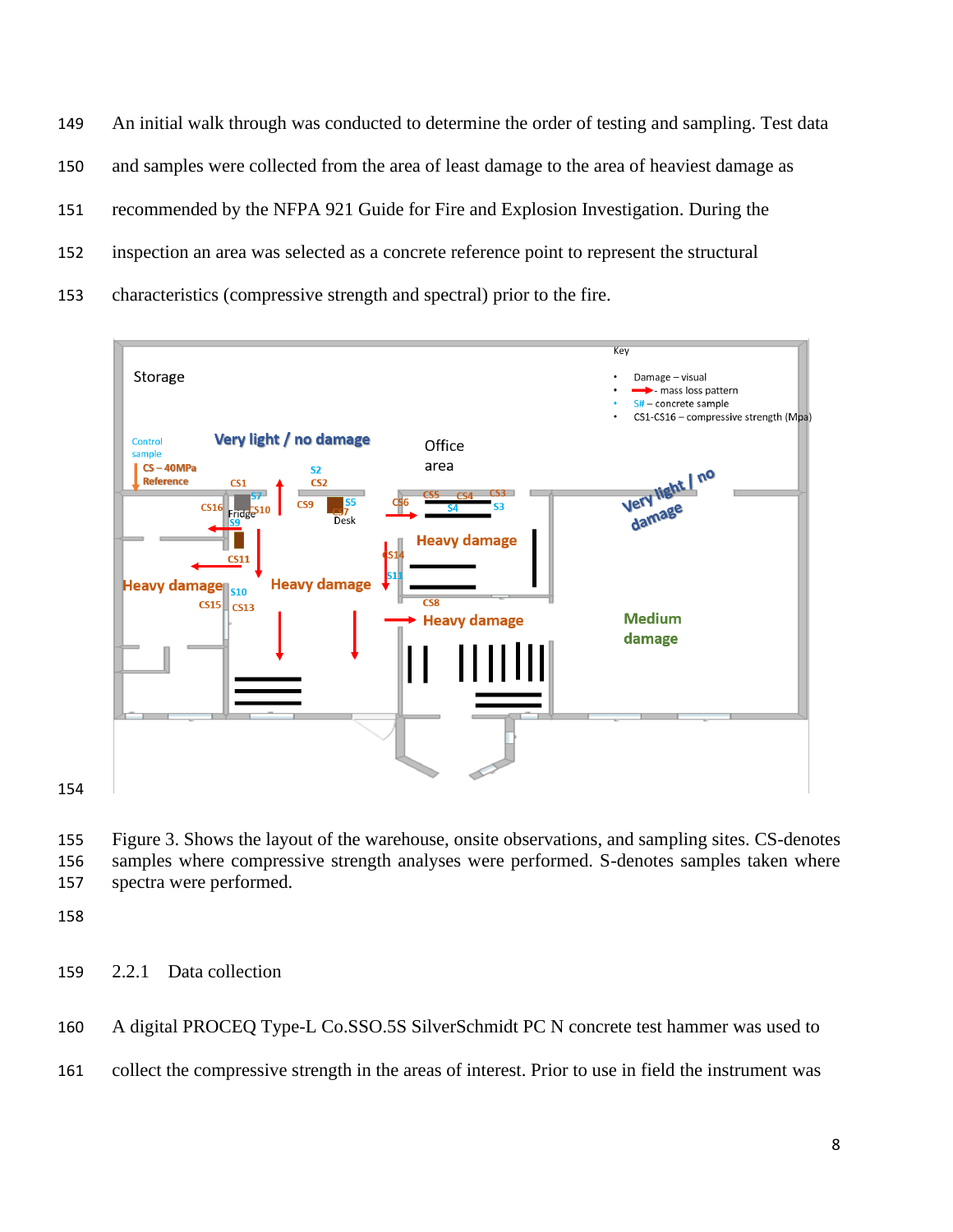An initial walk through was conducted to determine the order of testing and sampling. Test data and samples were collected from the area of least damage to the area of heaviest damage as recommended by the NFPA 921 Guide for Fire and Explosion Investigation. During the inspection an area was selected as a concrete reference point to represent the structural characteristics (compressive strength and spectral) prior to the fire.



 Figure 3. Shows the layout of the warehouse, onsite observations, and sampling sites. CS-denotes samples where compressive strength analyses were performed. S-denotes samples taken where spectra were performed.

2.2.1 Data collection

A digital PROCEQ Type-L Co.SSO.5S SilverSchmidt PC N concrete test hammer was used to

collect the compressive strength in the areas of interest. Prior to use in field the instrument was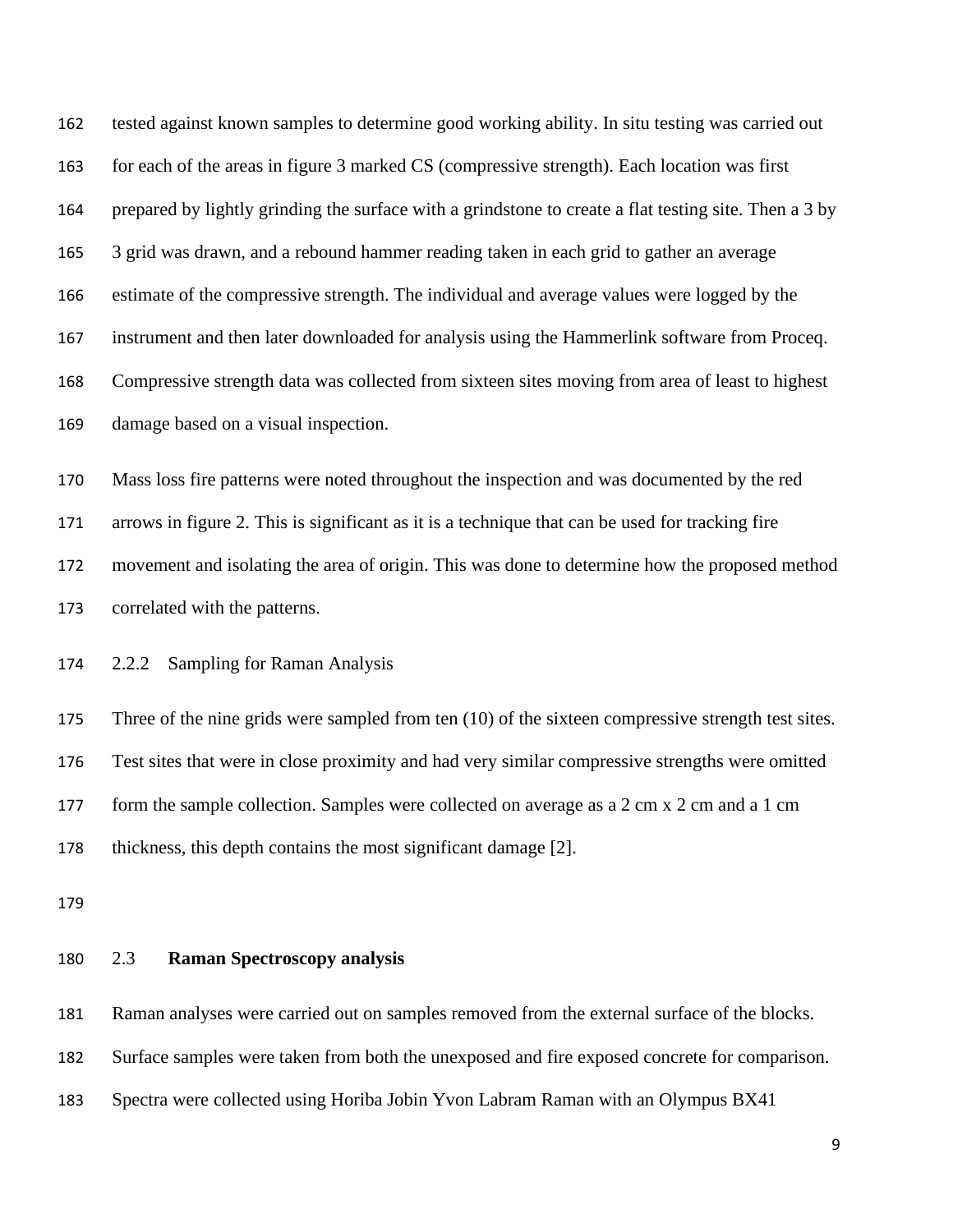tested against known samples to determine good working ability. In situ testing was carried out for each of the areas in figure 3 marked CS (compressive strength). Each location was first prepared by lightly grinding the surface with a grindstone to create a flat testing site. Then a 3 by 3 grid was drawn, and a rebound hammer reading taken in each grid to gather an average estimate of the compressive strength. The individual and average values were logged by the instrument and then later downloaded for analysis using the Hammerlink software from Proceq. Compressive strength data was collected from sixteen sites moving from area of least to highest damage based on a visual inspection. Mass loss fire patterns were noted throughout the inspection and was documented by the red arrows in figure 2. This is significant as it is a technique that can be used for tracking fire movement and isolating the area of origin. This was done to determine how the proposed method correlated with the patterns. 2.2.2 Sampling for Raman Analysis

175 Three of the nine grids were sampled from ten (10) of the sixteen compressive strength test sites. Test sites that were in close proximity and had very similar compressive strengths were omitted form the sample collection. Samples were collected on average as a 2 cm x 2 cm and a 1 cm thickness, this depth contains the most significant damage [2].

### 2.3 **Raman Spectroscopy analysis**

Raman analyses were carried out on samples removed from the external surface of the blocks.

Surface samples were taken from both the unexposed and fire exposed concrete for comparison.

Spectra were collected using Horiba Jobin Yvon Labram Raman with an Olympus BX41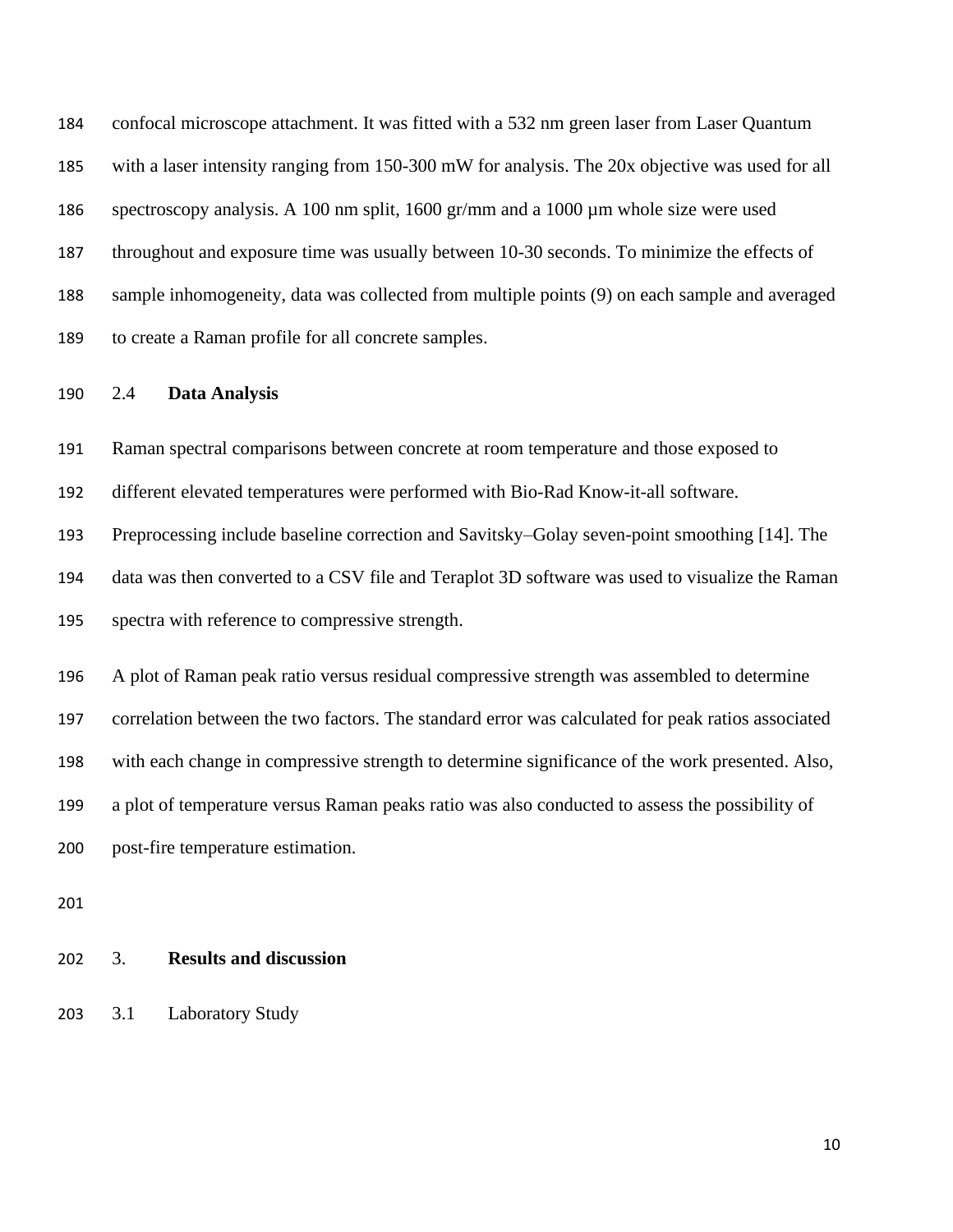confocal microscope attachment. It was fitted with a 532 nm green laser from Laser Quantum with a laser intensity ranging from 150-300 mW for analysis. The 20x objective was used for all spectroscopy analysis. A 100 nm split, 1600 gr/mm and a 1000 µm whole size were used throughout and exposure time was usually between 10-30 seconds. To minimize the effects of sample inhomogeneity, data was collected from multiple points (9) on each sample and averaged to create a Raman profile for all concrete samples.

### 2.4 **Data Analysis**

Raman spectral comparisons between concrete at room temperature and those exposed to

different elevated temperatures were performed with Bio-Rad Know-it-all software.

 Preprocessing include baseline correction and Savitsky–Golay seven-point smoothing [14]. The data was then converted to a CSV file and Teraplot 3D software was used to visualize the Raman

spectra with reference to compressive strength.

 A plot of Raman peak ratio versus residual compressive strength was assembled to determine correlation between the two factors. The standard error was calculated for peak ratios associated with each change in compressive strength to determine significance of the work presented. Also, a plot of temperature versus Raman peaks ratio was also conducted to assess the possibility of post-fire temperature estimation.

# 3. **Results and discussion**

3.1 Laboratory Study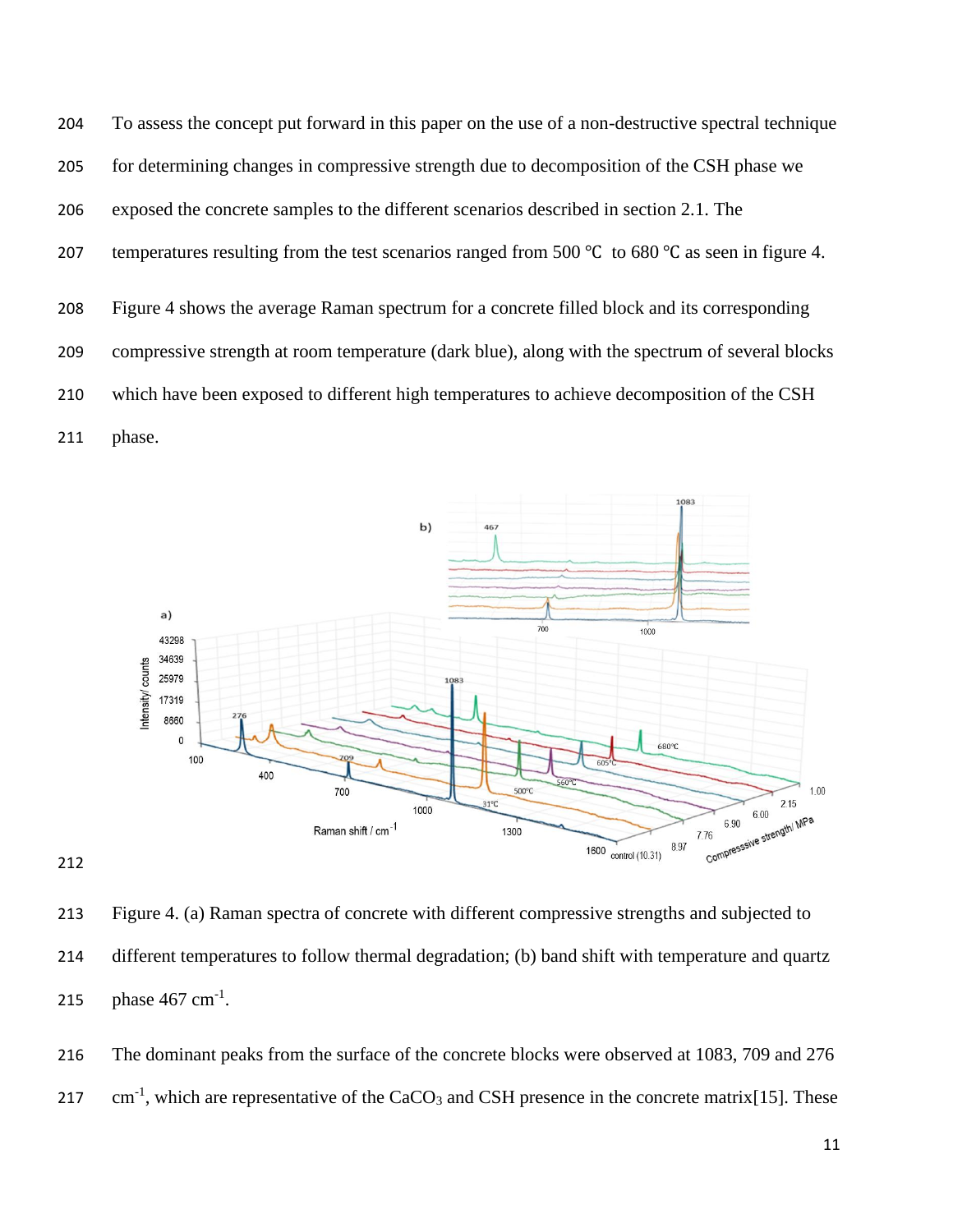To assess the concept put forward in this paper on the use of a non-destructive spectral technique for determining changes in compressive strength due to decomposition of the CSH phase we exposed the concrete samples to the different scenarios described in section 2.1. The temperatures resulting from the test scenarios ranged from 500 ℃ to 680 ℃ as seen in figure 4. Figure 4 shows the average Raman spectrum for a concrete filled block and its corresponding compressive strength at room temperature (dark blue), along with the spectrum of several blocks which have been exposed to different high temperatures to achieve decomposition of the CSH phase.





 Figure 4. (a) Raman spectra of concrete with different compressive strengths and subjected to different temperatures to follow thermal degradation; (b) band shift with temperature and quartz 215 phase  $467 \text{ cm}^{-1}$ .

 The dominant peaks from the surface of the concrete blocks were observed at 1083, 709 and 276 cm<sup>-1</sup>, which are representative of the CaCO<sub>3</sub> and CSH presence in the concrete matrix[15]. These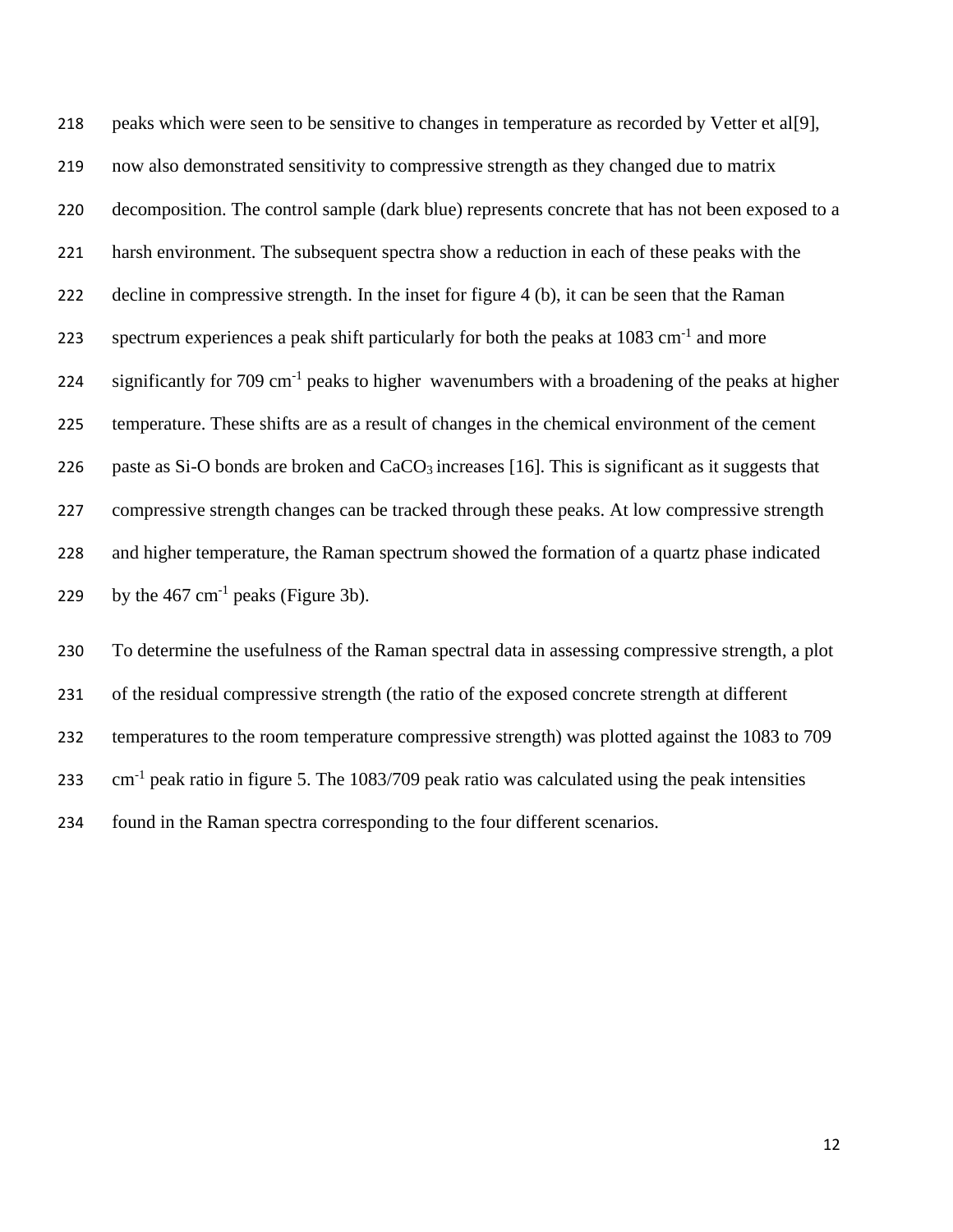peaks which were seen to be sensitive to changes in temperature as recorded by Vetter et al[9], now also demonstrated sensitivity to compressive strength as they changed due to matrix decomposition. The control sample (dark blue) represents concrete that has not been exposed to a harsh environment. The subsequent spectra show a reduction in each of these peaks with the decline in compressive strength. In the inset for figure 4 (b), it can be seen that the Raman 223 spectrum experiences a peak shift particularly for both the peaks at  $1083 \text{ cm}^{-1}$  and more 224 significantly for 709 cm<sup>-1</sup> peaks to higher wavenumbers with a broadening of the peaks at higher temperature. These shifts are as a result of changes in the chemical environment of the cement 226 paste as Si-O bonds are broken and  $CaCO<sub>3</sub>$  increases [16]. This is significant as it suggests that compressive strength changes can be tracked through these peaks. At low compressive strength and higher temperature, the Raman spectrum showed the formation of a quartz phase indicated 229 by the  $467 \text{ cm}^{-1}$  peaks (Figure 3b).

 To determine the usefulness of the Raman spectral data in assessing compressive strength, a plot of the residual compressive strength (the ratio of the exposed concrete strength at different temperatures to the room temperature compressive strength) was plotted against the 1083 to 709 cm<sup>-1</sup> peak ratio in figure 5. The 1083/709 peak ratio was calculated using the peak intensities found in the Raman spectra corresponding to the four different scenarios.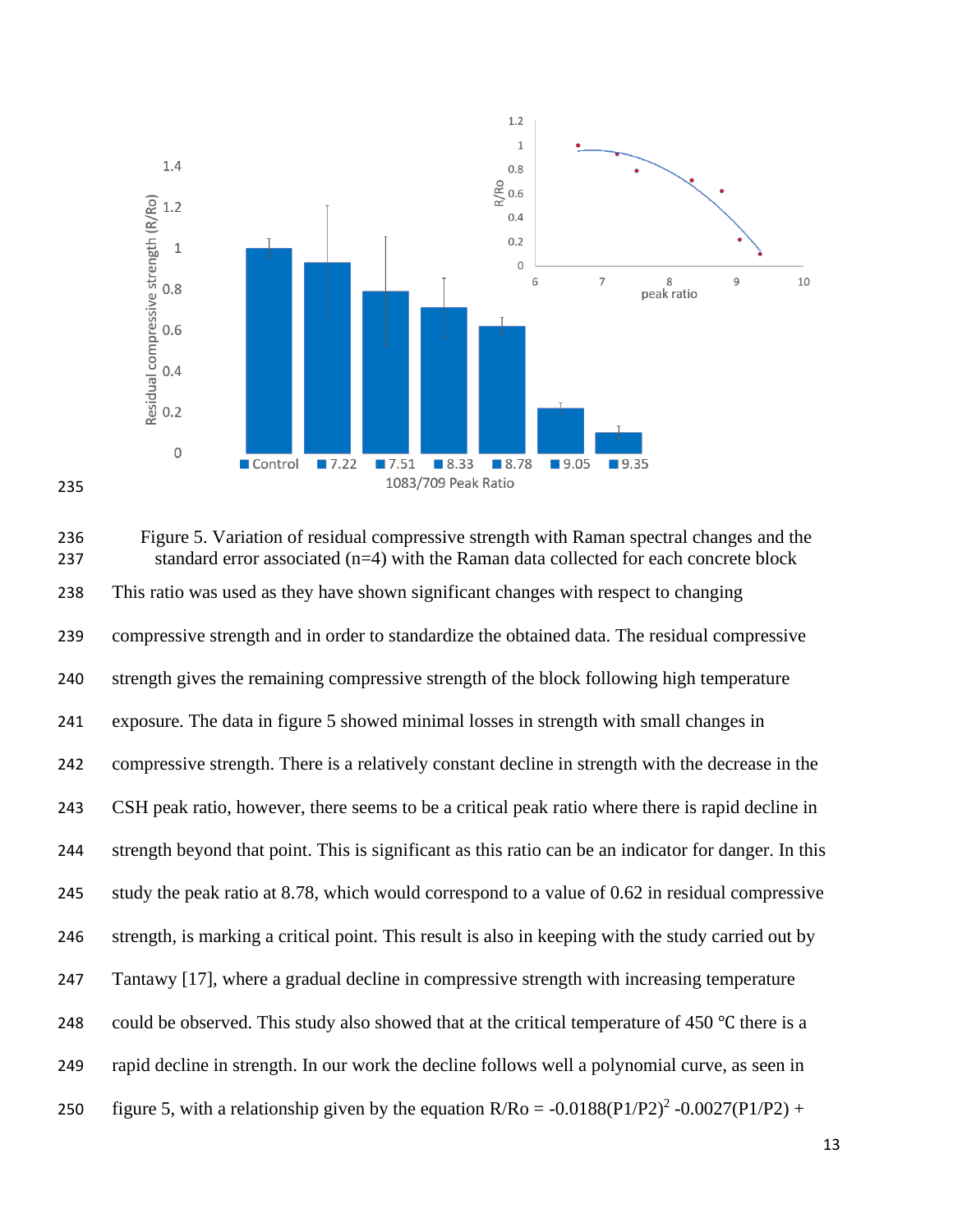



| 236<br>237 | Figure 5. Variation of residual compressive strength with Raman spectral changes and the<br>standard error associated (n=4) with the Raman data collected for each concrete block |
|------------|-----------------------------------------------------------------------------------------------------------------------------------------------------------------------------------|
| 238        | This ratio was used as they have shown significant changes with respect to changing                                                                                               |
| 239        | compressive strength and in order to standardize the obtained data. The residual compressive                                                                                      |
| 240        | strength gives the remaining compressive strength of the block following high temperature                                                                                         |
| 241        | exposure. The data in figure 5 showed minimal losses in strength with small changes in                                                                                            |
| 242        | compressive strength. There is a relatively constant decline in strength with the decrease in the                                                                                 |
| 243        | CSH peak ratio, however, there seems to be a critical peak ratio where there is rapid decline in                                                                                  |
| 244        | strength beyond that point. This is significant as this ratio can be an indicator for danger. In this                                                                             |
| 245        | study the peak ratio at 8.78, which would correspond to a value of 0.62 in residual compressive                                                                                   |
| 246        | strength, is marking a critical point. This result is also in keeping with the study carried out by                                                                               |
| 247        | Tantawy [17], where a gradual decline in compressive strength with increasing temperature                                                                                         |
| 248        | could be observed. This study also showed that at the critical temperature of 450 °C there is a                                                                                   |
| 249        | rapid decline in strength. In our work the decline follows well a polynomial curve, as seen in                                                                                    |
| 250        | figure 5, with a relationship given by the equation $R/Ro = -0.0188(P1/P2)^{2} -0.0027(P1/P2) +$                                                                                  |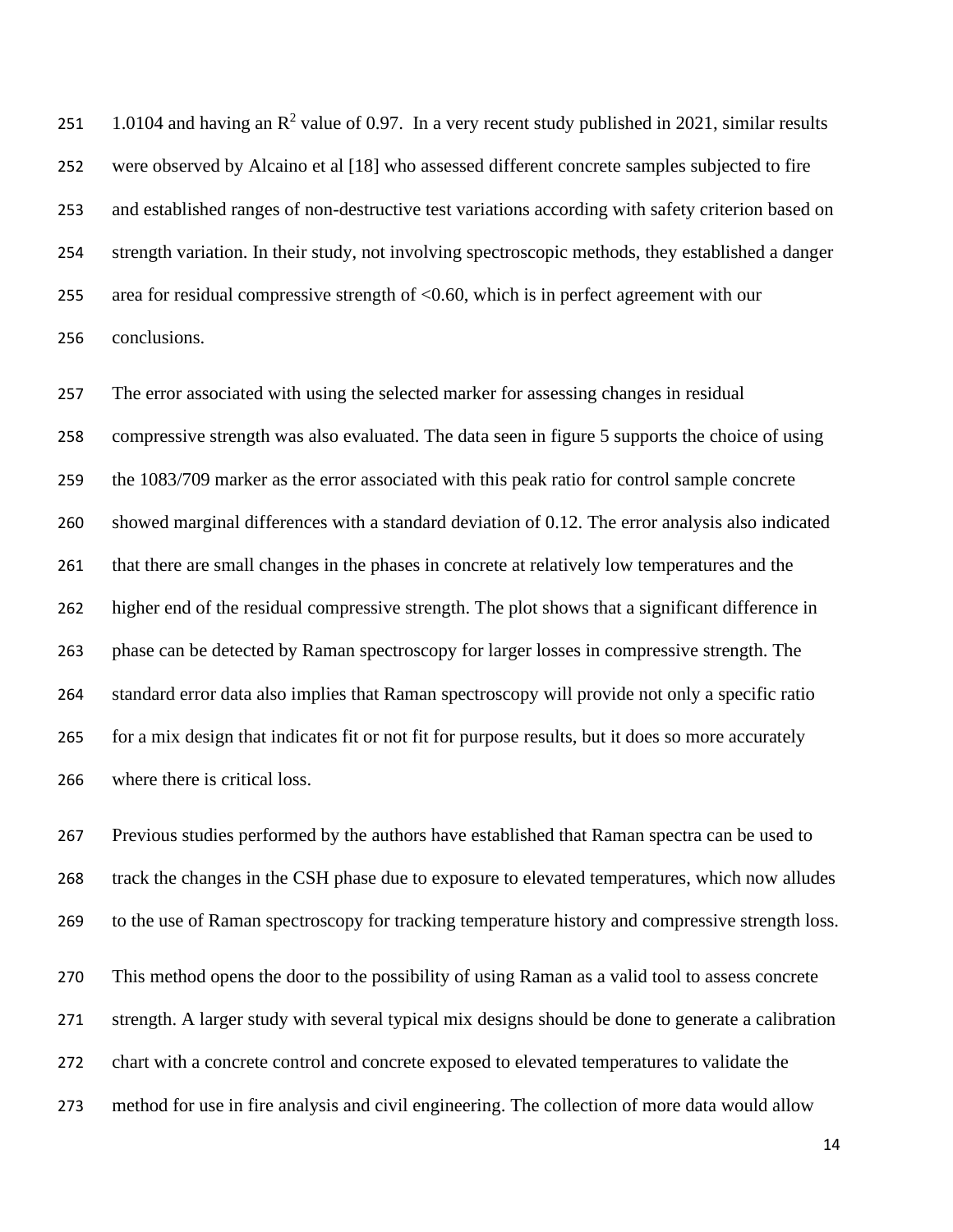251 1.0104 and having an  $\mathbb{R}^2$  value of 0.97. In a very recent study published in 2021, similar results were observed by Alcaino et al [18] who assessed different concrete samples subjected to fire and established ranges of non-destructive test variations according with safety criterion based on strength variation. In their study, not involving spectroscopic methods, they established a danger area for residual compressive strength of <0.60, which is in perfect agreement with our conclusions.

 The error associated with using the selected marker for assessing changes in residual compressive strength was also evaluated. The data seen in figure 5 supports the choice of using the 1083/709 marker as the error associated with this peak ratio for control sample concrete showed marginal differences with a standard deviation of 0.12. The error analysis also indicated that there are small changes in the phases in concrete at relatively low temperatures and the higher end of the residual compressive strength. The plot shows that a significant difference in phase can be detected by Raman spectroscopy for larger losses in compressive strength. The standard error data also implies that Raman spectroscopy will provide not only a specific ratio for a mix design that indicates fit or not fit for purpose results, but it does so more accurately where there is critical loss.

 Previous studies performed by the authors have established that Raman spectra can be used to track the changes in the CSH phase due to exposure to elevated temperatures, which now alludes to the use of Raman spectroscopy for tracking temperature history and compressive strength loss. This method opens the door to the possibility of using Raman as a valid tool to assess concrete strength. A larger study with several typical mix designs should be done to generate a calibration chart with a concrete control and concrete exposed to elevated temperatures to validate the method for use in fire analysis and civil engineering. The collection of more data would allow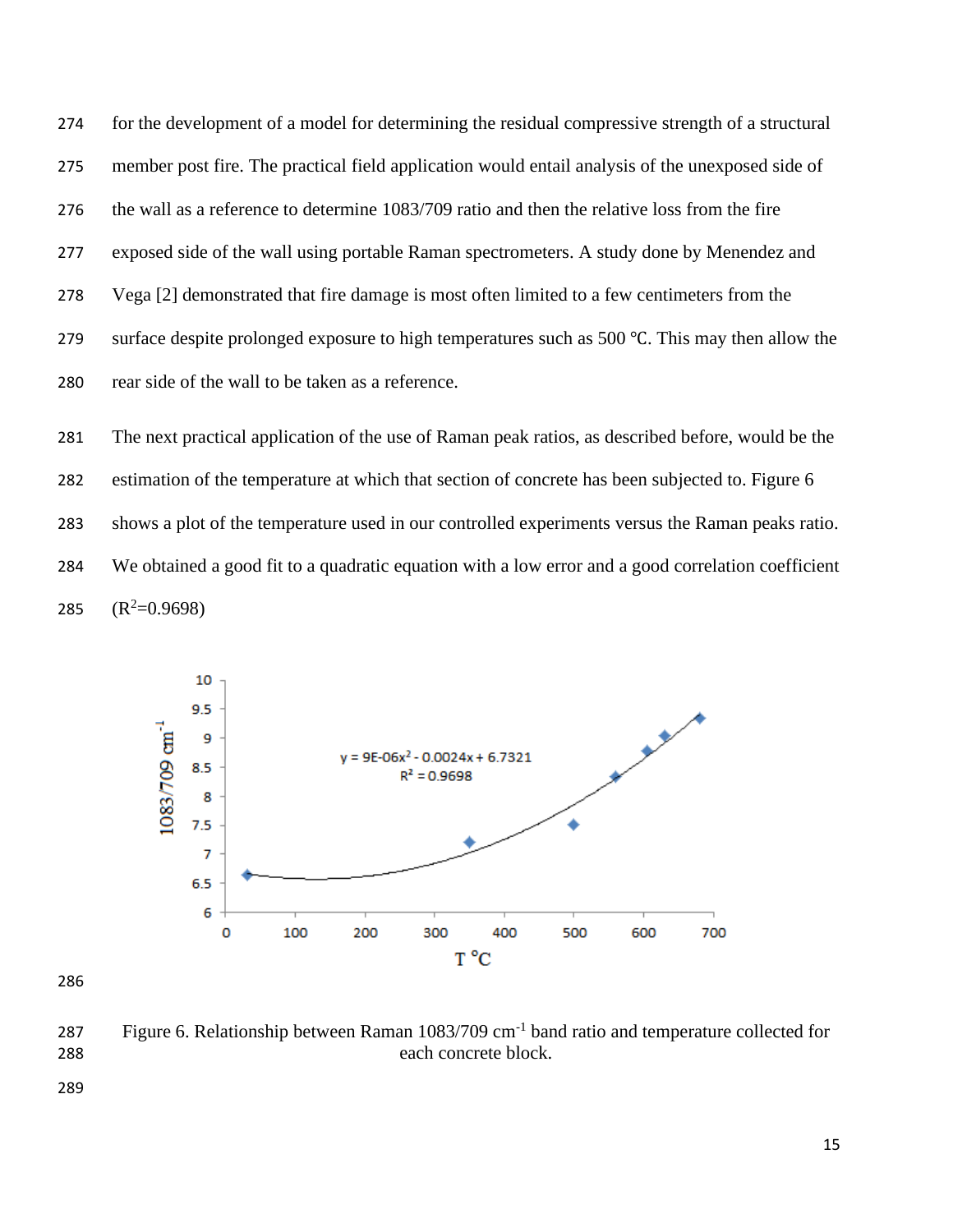for the development of a model for determining the residual compressive strength of a structural member post fire. The practical field application would entail analysis of the unexposed side of the wall as a reference to determine 1083/709 ratio and then the relative loss from the fire exposed side of the wall using portable Raman spectrometers. A study done by Menendez and Vega [2] demonstrated that fire damage is most often limited to a few centimeters from the surface despite prolonged exposure to high temperatures such as 500 ℃. This may then allow the rear side of the wall to be taken as a reference.

 The next practical application of the use of Raman peak ratios, as described before, would be the estimation of the temperature at which that section of concrete has been subjected to. Figure 6 shows a plot of the temperature used in our controlled experiments versus the Raman peaks ratio. We obtained a good fit to a quadratic equation with a low error and a good correlation coefficient  $(R^2=0.9698)$ 



287 Figure 6. Relationship between Raman 1083/709 cm<sup>-1</sup> band ratio and temperature collected for each concrete block.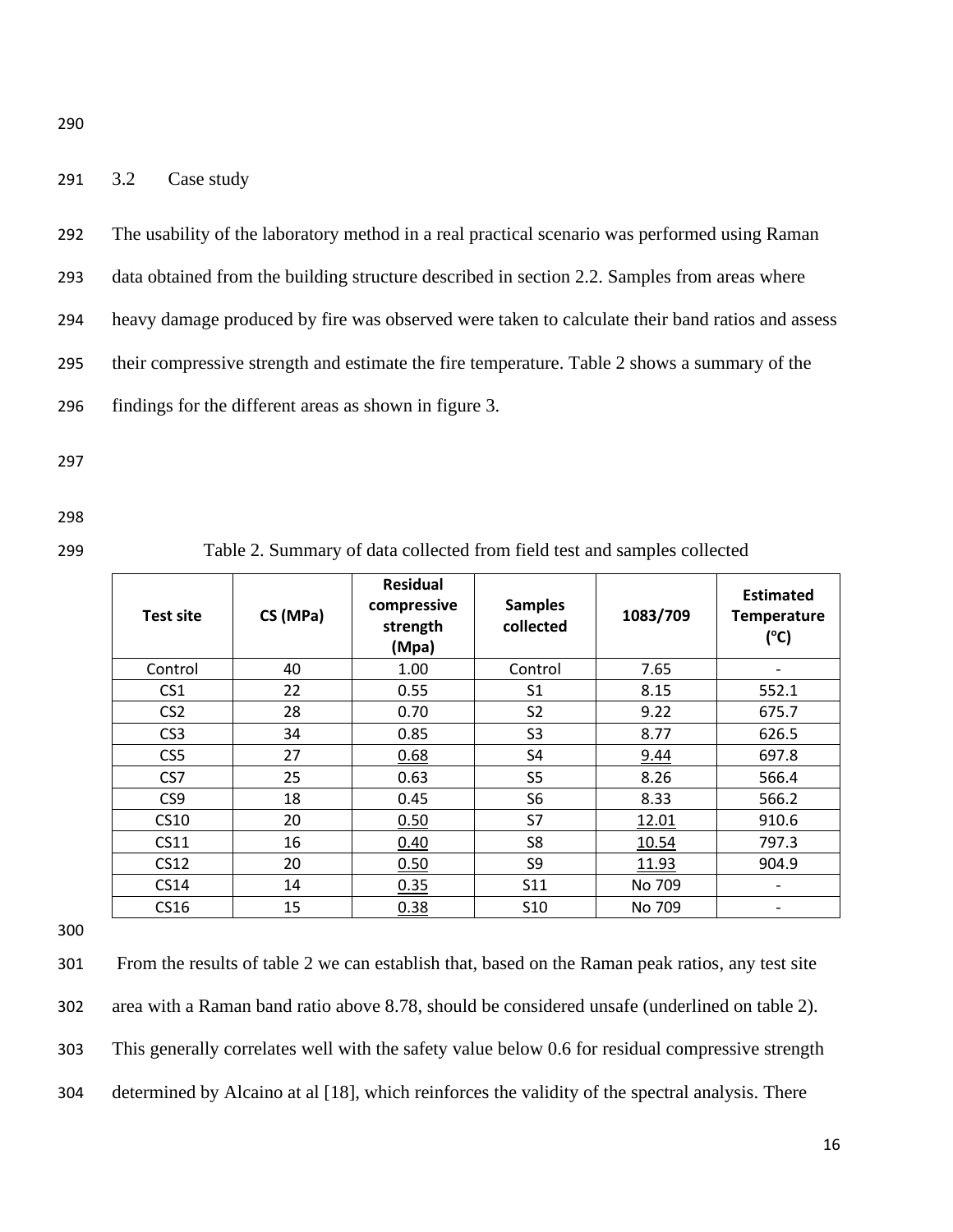# 291 3.2 Case study

292 The usability of the laboratory method in a real practical scenario was performed using Raman

293 data obtained from the building structure described in section 2.2. Samples from areas where

294 heavy damage produced by fire was observed were taken to calculate their band ratios and assess

295 their compressive strength and estimate the fire temperature. Table 2 shows a summary of the

296 findings for the different areas as shown in figure 3.

297

298

299 Table 2. Summary of data collected from field test and samples collected

| <b>Test site</b> | CS (MPa) | <b>Residual</b><br>compressive<br>strength<br>(Mpa) | <b>Samples</b><br>collected | 1083/709 | <b>Estimated</b><br><b>Temperature</b><br>(C) |
|------------------|----------|-----------------------------------------------------|-----------------------------|----------|-----------------------------------------------|
| Control          | 40       | 1.00                                                | Control                     | 7.65     | $\overline{\phantom{0}}$                      |
| CS <sub>1</sub>  | 22       | 0.55                                                | S1                          | 8.15     | 552.1                                         |
| CS <sub>2</sub>  | 28       | 0.70                                                | S <sub>2</sub>              | 9.22     | 675.7                                         |
| CS <sub>3</sub>  | 34       | 0.85                                                | S <sub>3</sub>              | 8.77     | 626.5                                         |
| CS <sub>5</sub>  | 27       | 0.68                                                | S4                          | 9.44     | 697.8                                         |
| CS7              | 25       | 0.63                                                | S5                          | 8.26     | 566.4                                         |
| CS9              | 18       | 0.45                                                | S <sub>6</sub>              | 8.33     | 566.2                                         |
| CS10             | 20       | 0.50                                                | S7                          | 12.01    | 910.6                                         |
| CS11             | 16       | 0.40                                                | S8                          | 10.54    | 797.3                                         |
| CS12             | 20       | 0.50                                                | S9                          | 11.93    | 904.9                                         |
| CS14             | 14       | 0.35                                                | <b>S11</b>                  | No 709   | $\overline{\phantom{a}}$                      |
| CS16             | 15       | 0.38                                                | S <sub>10</sub>             | No 709   | $\overline{\phantom{0}}$                      |

300

 From the results of table 2 we can establish that, based on the Raman peak ratios, any test site area with a Raman band ratio above 8.78, should be considered unsafe (underlined on table 2). This generally correlates well with the safety value below 0.6 for residual compressive strength determined by Alcaino at al [18], which reinforces the validity of the spectral analysis. There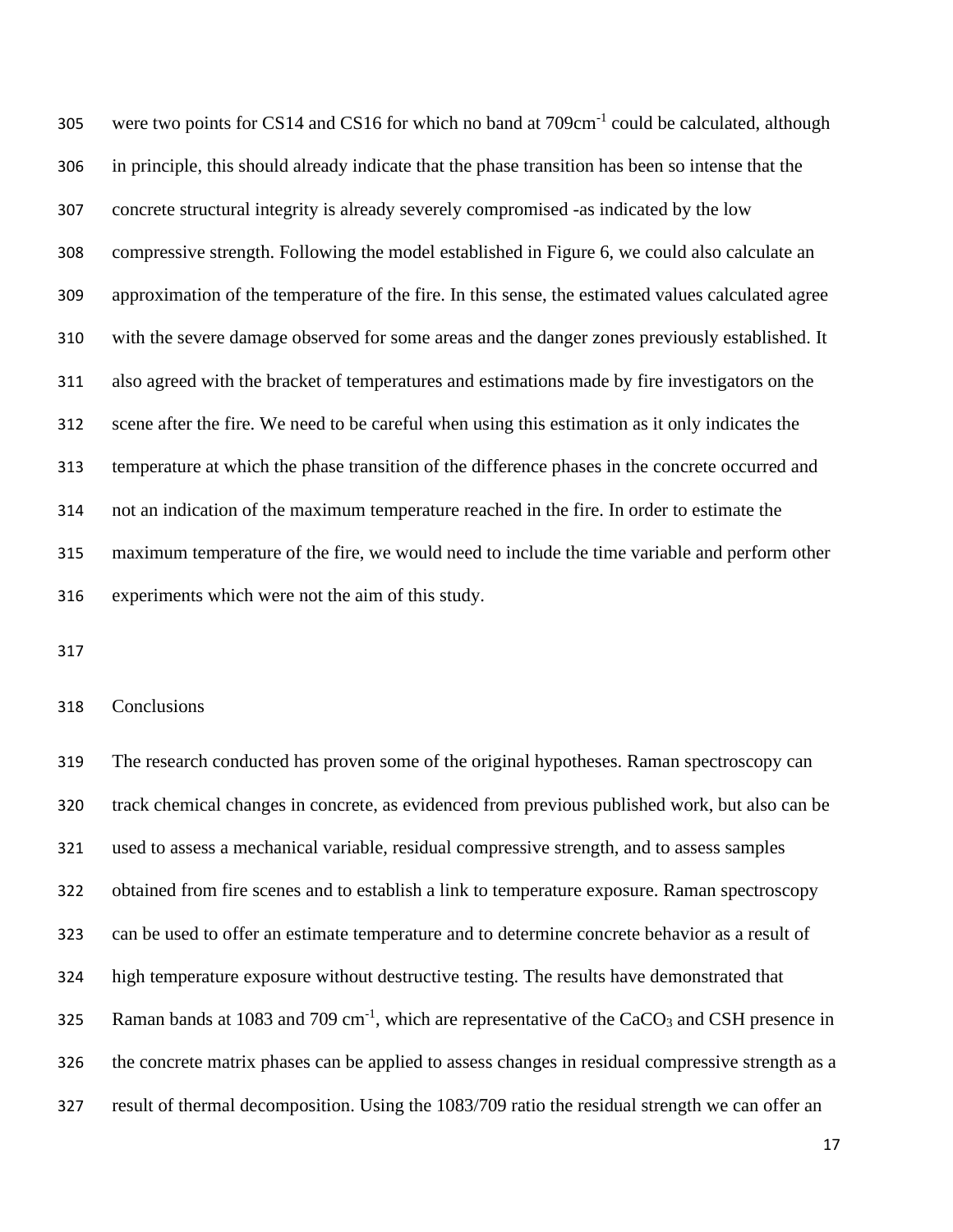305 were two points for CS14 and CS16 for which no band at 709cm<sup>-1</sup> could be calculated, although in principle, this should already indicate that the phase transition has been so intense that the concrete structural integrity is already severely compromised -as indicated by the low compressive strength. Following the model established in Figure 6, we could also calculate an approximation of the temperature of the fire. In this sense, the estimated values calculated agree with the severe damage observed for some areas and the danger zones previously established. It also agreed with the bracket of temperatures and estimations made by fire investigators on the scene after the fire. We need to be careful when using this estimation as it only indicates the temperature at which the phase transition of the difference phases in the concrete occurred and not an indication of the maximum temperature reached in the fire. In order to estimate the maximum temperature of the fire, we would need to include the time variable and perform other experiments which were not the aim of this study.

### Conclusions

 The research conducted has proven some of the original hypotheses. Raman spectroscopy can track chemical changes in concrete, as evidenced from previous published work, but also can be used to assess a mechanical variable, residual compressive strength, and to assess samples obtained from fire scenes and to establish a link to temperature exposure. Raman spectroscopy can be used to offer an estimate temperature and to determine concrete behavior as a result of high temperature exposure without destructive testing. The results have demonstrated that 325 Raman bands at 1083 and 709 cm<sup>-1</sup>, which are representative of the CaCO<sub>3</sub> and CSH presence in the concrete matrix phases can be applied to assess changes in residual compressive strength as a result of thermal decomposition. Using the 1083/709 ratio the residual strength we can offer an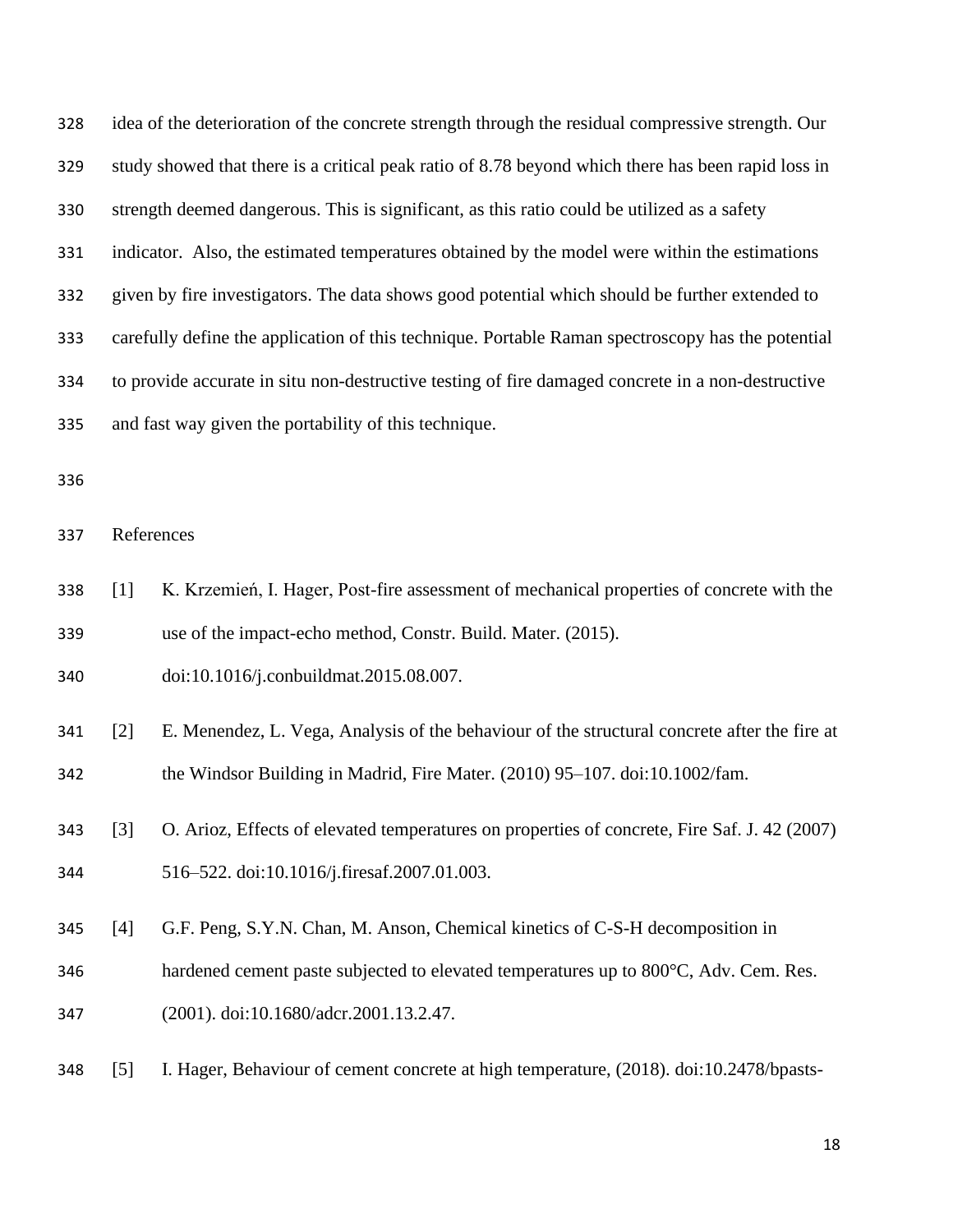idea of the deterioration of the concrete strength through the residual compressive strength. Our study showed that there is a critical peak ratio of 8.78 beyond which there has been rapid loss in strength deemed dangerous. This is significant, as this ratio could be utilized as a safety indicator. Also, the estimated temperatures obtained by the model were within the estimations given by fire investigators. The data shows good potential which should be further extended to carefully define the application of this technique. Portable Raman spectroscopy has the potential to provide accurate in situ non-destructive testing of fire damaged concrete in a non-destructive and fast way given the portability of this technique.

References

- [1] K. Krzemień, I. Hager, Post-fire assessment of mechanical properties of concrete with the use of the impact-echo method, Constr. Build. Mater. (2015).
- doi:10.1016/j.conbuildmat.2015.08.007.
- [2] E. Menendez, L. Vega, Analysis of the behaviour of the structural concrete after the fire at the Windsor Building in Madrid, Fire Mater. (2010) 95–107. doi:10.1002/fam.
- [3] O. Arioz, Effects of elevated temperatures on properties of concrete, Fire Saf. J. 42 (2007) 516–522. doi:10.1016/j.firesaf.2007.01.003.
- [4] G.F. Peng, S.Y.N. Chan, M. Anson, Chemical kinetics of C-S-H decomposition in
- hardened cement paste subjected to elevated temperatures up to 800°C, Adv. Cem. Res.
- (2001). doi:10.1680/adcr.2001.13.2.47.
- [5] I. Hager, Behaviour of cement concrete at high temperature, (2018). doi:10.2478/bpasts-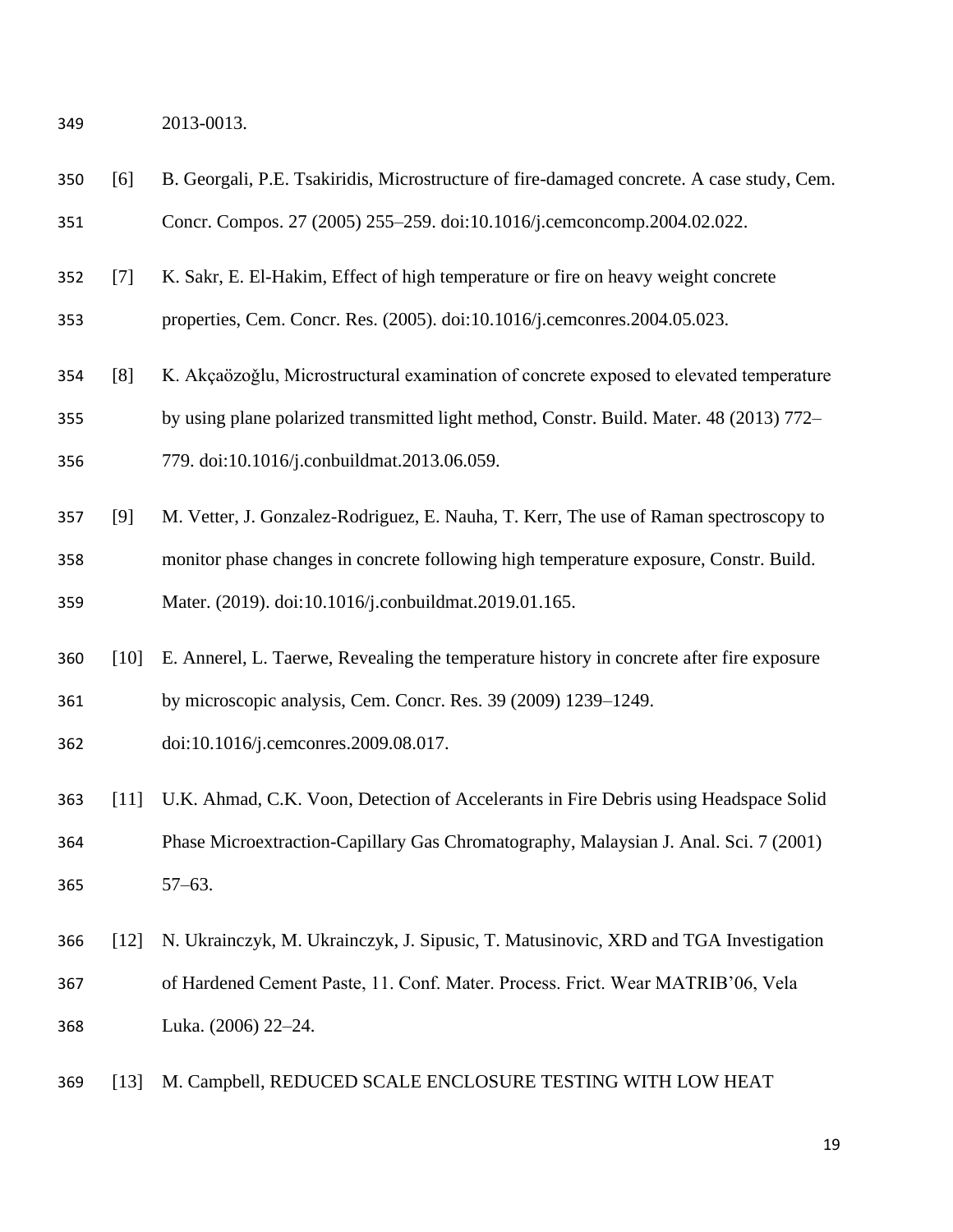2013-0013.

- [6] B. Georgali, P.E. Tsakiridis, Microstructure of fire-damaged concrete. A case study, Cem. Concr. Compos. 27 (2005) 255–259. doi:10.1016/j.cemconcomp.2004.02.022.
- [7] K. Sakr, E. El-Hakim, Effect of high temperature or fire on heavy weight concrete

properties, Cem. Concr. Res. (2005). doi:10.1016/j.cemconres.2004.05.023.

- [8] K. Akçaözoǧlu, Microstructural examination of concrete exposed to elevated temperature
- by using plane polarized transmitted light method, Constr. Build. Mater. 48 (2013) 772–
- 779. doi:10.1016/j.conbuildmat.2013.06.059.
- [9] M. Vetter, J. Gonzalez-Rodriguez, E. Nauha, T. Kerr, The use of Raman spectroscopy to monitor phase changes in concrete following high temperature exposure, Constr. Build. Mater. (2019). doi:10.1016/j.conbuildmat.2019.01.165.
- [10] E. Annerel, L. Taerwe, Revealing the temperature history in concrete after fire exposure by microscopic analysis, Cem. Concr. Res. 39 (2009) 1239–1249.
- doi:10.1016/j.cemconres.2009.08.017.
- [11] U.K. Ahmad, C.K. Voon, Detection of Accelerants in Fire Debris using Headspace Solid Phase Microextraction-Capillary Gas Chromatography, Malaysian J. Anal. Sci. 7 (2001) 57–63.
- [12] N. Ukrainczyk, M. Ukrainczyk, J. Sipusic, T. Matusinovic, XRD and TGA Investigation of Hardened Cement Paste, 11. Conf. Mater. Process. Frict. Wear MATRIB'06, Vela Luka. (2006) 22–24.
- [13] M. Campbell, REDUCED SCALE ENCLOSURE TESTING WITH LOW HEAT